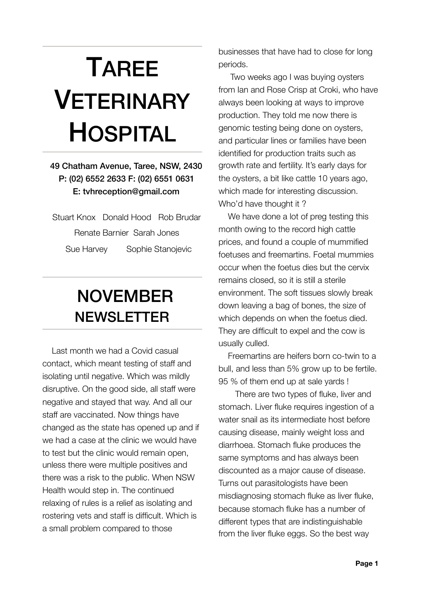## TAREE VETERINARY HOSPITAL

## 49 Chatham Avenue, Taree, NSW, 2430 P: (02) 6552 2633 F: (02) 6551 0631 E: [tvhreception@gmail.com](mailto:tarvet@tpgi.com.au?subject=)

Stuart Knox Donald Hood Rob Brudar Renate Barnier Sarah Jones Sue Harvey Sophie Stanojevic

## NOVEMBER NEWSLETTER

 Last month we had a Covid casual contact, which meant testing of staff and isolating until negative. Which was mildly disruptive. On the good side, all staff were negative and stayed that way. And all our staff are vaccinated. Now things have changed as the state has opened up and if we had a case at the clinic we would have to test but the clinic would remain open, unless there were multiple positives and there was a risk to the public. When NSW Health would step in. The continued relaxing of rules is a relief as isolating and rostering vets and staff is difficult. Which is a small problem compared to those

businesses that have had to close for long periods.

 Two weeks ago I was buying oysters from Ian and Rose Crisp at Croki, who have always been looking at ways to improve production. They told me now there is genomic testing being done on oysters, and particular lines or families have been identified for production traits such as growth rate and fertility. It's early days for the oysters, a bit like cattle 10 years ago, which made for interesting discussion. Who'd have thought it ?

We have done a lot of preg testing this month owing to the record high cattle prices, and found a couple of mummified foetuses and freemartins. Foetal mummies occur when the foetus dies but the cervix remains closed, so it is still a sterile environment. The soft tissues slowly break down leaving a bag of bones, the size of which depends on when the foetus died. They are difficult to expel and the cow is usually culled.

 Freemartins are heifers born co-twin to a bull, and less than 5% grow up to be fertile. 95 % of them end up at sale yards !

 There are two types of fluke, liver and stomach. Liver fluke requires ingestion of a water snail as its intermediate host before causing disease, mainly weight loss and diarrhoea. Stomach fluke produces the same symptoms and has always been discounted as a major cause of disease. Turns out parasitologists have been misdiagnosing stomach fluke as liver fluke, because stomach fluke has a number of different types that are indistinguishable from the liver fluke eggs. So the best way